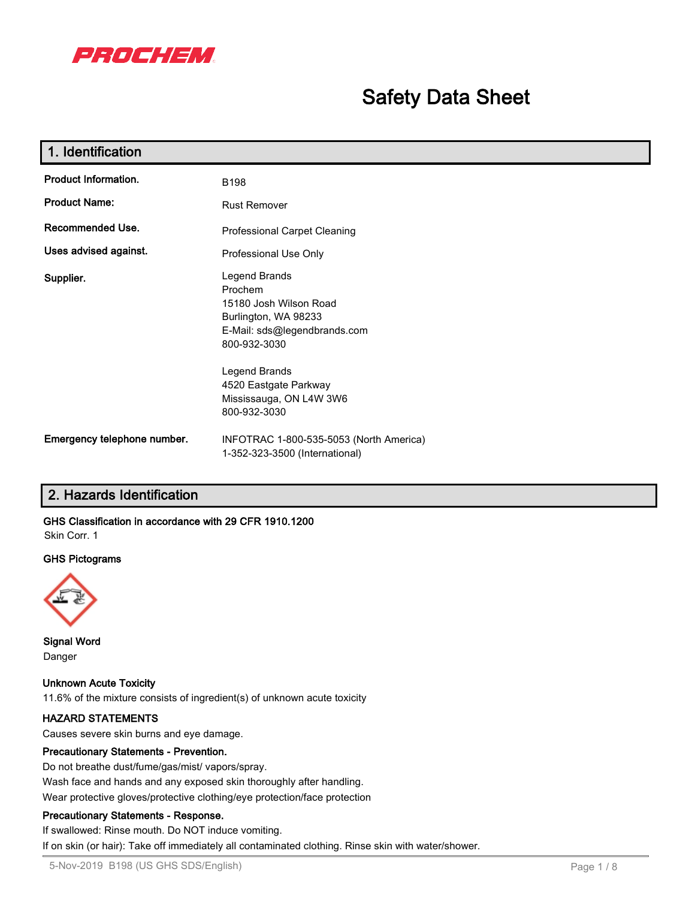

# **Safety Data Sheet**

| 1. Identification           |                                                                                                                            |  |  |  |
|-----------------------------|----------------------------------------------------------------------------------------------------------------------------|--|--|--|
| <b>Product Information.</b> | <b>B198</b>                                                                                                                |  |  |  |
| <b>Product Name:</b>        | <b>Rust Remover</b>                                                                                                        |  |  |  |
| Recommended Use.            | Professional Carpet Cleaning                                                                                               |  |  |  |
| Uses advised against.       | Professional Use Only                                                                                                      |  |  |  |
| Supplier.                   | Legend Brands<br>Prochem<br>15180 Josh Wilson Road<br>Burlington, WA 98233<br>E-Mail: sds@legendbrands.com<br>800-932-3030 |  |  |  |
|                             | Legend Brands<br>4520 Eastgate Parkway<br>Mississauga, ON L4W 3W6<br>800-932-3030                                          |  |  |  |
| Emergency telephone number. | INFOTRAC 1-800-535-5053 (North America)<br>1-352-323-3500 (International)                                                  |  |  |  |

# **2. Hazards Identification**

# **GHS Classification in accordance with 29 CFR 1910.1200** Skin Corr. 1

# **GHS Pictograms**



**Signal Word** Danger

**Unknown Acute Toxicity** 11.6% of the mixture consists of ingredient(s) of unknown acute toxicity

# **HAZARD STATEMENTS**

Causes severe skin burns and eye damage.

# **Precautionary Statements - Prevention.**

Do not breathe dust/fume/gas/mist/ vapors/spray. Wash face and hands and any exposed skin thoroughly after handling. Wear protective gloves/protective clothing/eye protection/face protection

### **Precautionary Statements - Response.**

If swallowed: Rinse mouth. Do NOT induce vomiting.

If on skin (or hair): Take off immediately all contaminated clothing. Rinse skin with water/shower.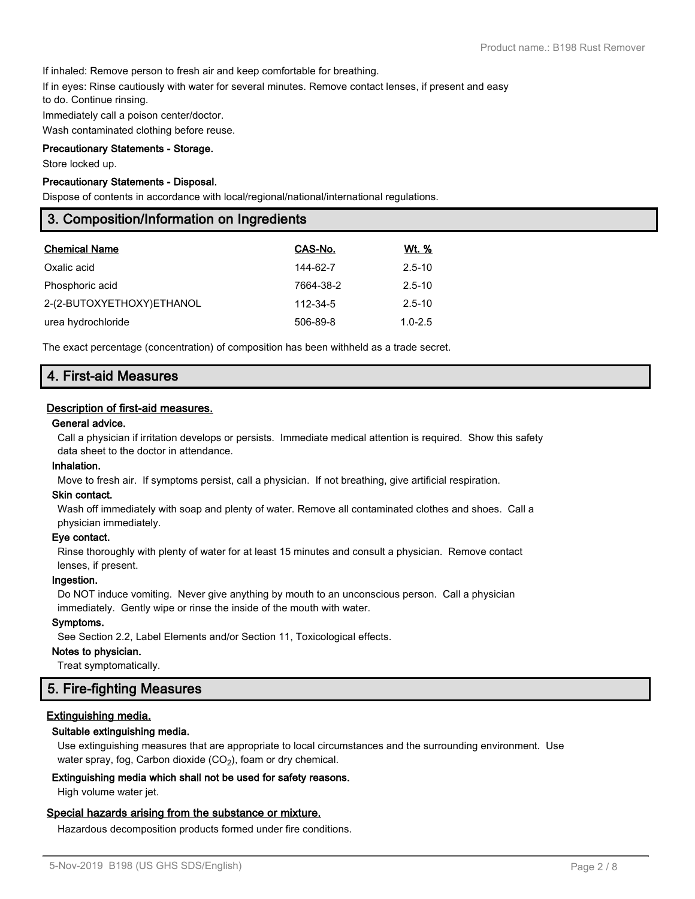If inhaled: Remove person to fresh air and keep comfortable for breathing.

If in eyes: Rinse cautiously with water for several minutes. Remove contact lenses, if present and easy

to do. Continue rinsing.

Immediately call a poison center/doctor.

Wash contaminated clothing before reuse.

# **Precautionary Statements - Storage.**

Store locked up.

# **Precautionary Statements - Disposal.**

Dispose of contents in accordance with local/regional/national/international regulations.

# **3. Composition/Information on Ingredients**

| <b>Chemical Name</b>      | CAS-No.   | Wt. %       |
|---------------------------|-----------|-------------|
| Oxalic acid               | 144-62-7  | $2.5 - 10$  |
| Phosphoric acid           | 7664-38-2 | $2.5 - 10$  |
| 2-(2-BUTOXYETHOXY)ETHANOL | 112-34-5  | $2.5 - 10$  |
| urea hydrochloride        | 506-89-8  | $1.0 - 2.5$ |

The exact percentage (concentration) of composition has been withheld as a trade secret.

# **4. First-aid Measures**

# **Description of first-aid measures.**

### **General advice.**

Call a physician if irritation develops or persists. Immediate medical attention is required. Show this safety data sheet to the doctor in attendance.

### **Inhalation.**

Move to fresh air. If symptoms persist, call a physician. If not breathing, give artificial respiration.

# **Skin contact.**

Wash off immediately with soap and plenty of water. Remove all contaminated clothes and shoes. Call a physician immediately.

# **Eye contact.**

Rinse thoroughly with plenty of water for at least 15 minutes and consult a physician. Remove contact lenses, if present.

### **Ingestion.**

Do NOT induce vomiting. Never give anything by mouth to an unconscious person. Call a physician immediately. Gently wipe or rinse the inside of the mouth with water.

### **Symptoms.**

See Section 2.2, Label Elements and/or Section 11, Toxicological effects.

# **Notes to physician.**

Treat symptomatically.

# **5. Fire-fighting Measures**

# **Extinguishing media.**

# **Suitable extinguishing media.**

Use extinguishing measures that are appropriate to local circumstances and the surrounding environment. Use water spray, fog, Carbon dioxide (CO $_2$ ), foam or dry chemical.

# **Extinguishing media which shall not be used for safety reasons.**

High volume water jet.

# **Special hazards arising from the substance or mixture.**

Hazardous decomposition products formed under fire conditions.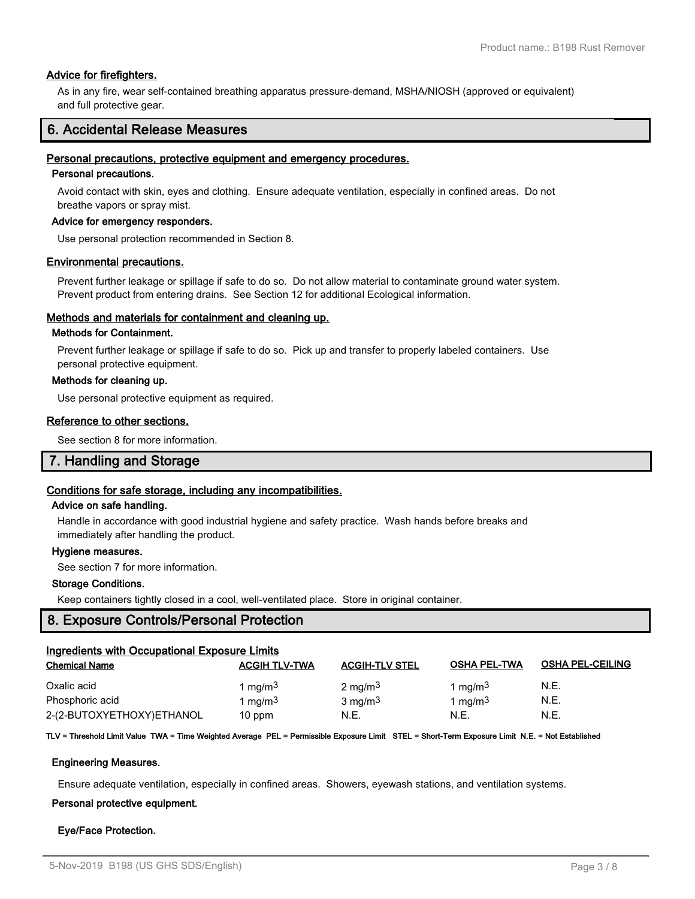# **Advice for firefighters.**

As in any fire, wear self-contained breathing apparatus pressure-demand, MSHA/NIOSH (approved or equivalent) and full protective gear.

# **6. Accidental Release Measures**

## **Personal precautions, protective equipment and emergency procedures.**

# **Personal precautions.**

Avoid contact with skin, eyes and clothing. Ensure adequate ventilation, especially in confined areas. Do not breathe vapors or spray mist.

### **Advice for emergency responders.**

Use personal protection recommended in Section 8.

# **Environmental precautions.**

Prevent further leakage or spillage if safe to do so. Do not allow material to contaminate ground water system. Prevent product from entering drains. See Section 12 for additional Ecological information.

# **Methods and materials for containment and cleaning up.**

# **Methods for Containment.**

Prevent further leakage or spillage if safe to do so. Pick up and transfer to properly labeled containers. Use personal protective equipment.

# **Methods for cleaning up.**

Use personal protective equipment as required.

# **Reference to other sections.**

See section 8 for more information.

# **7. Handling and Storage**

# **Conditions for safe storage, including any incompatibilities.**

# **Advice on safe handling.**

Handle in accordance with good industrial hygiene and safety practice. Wash hands before breaks and immediately after handling the product.

### **Hygiene measures.**

See section 7 for more information.

### **Storage Conditions.**

Keep containers tightly closed in a cool, well-ventilated place. Store in original container.

# **8. Exposure Controls/Personal Protection**

# **Ingredients with Occupational Exposure Limits**

| <b>Chemical Name</b>      | <b>ACGIH TLV-TWA</b> | <b>ACGIH-TLV STEL</b> | <b>OSHA PEL-TWA</b> | <b>OSHA PEL-CEILING</b> |
|---------------------------|----------------------|-----------------------|---------------------|-------------------------|
| Oxalic acid               | 1 ma/m <sup>3</sup>  | $2 \text{ mg/m}^3$    | 1 mg/m $3$          | N.E.                    |
| Phosphoric acid           | 1 ma/m <sup>3</sup>  | $3 \text{ mg/m}^3$    | 1 mg/m $3$          | N.E.                    |
| 2-(2-BUTOXYETHOXY)ETHANOL | 10 ppm               | N.E.                  | N.E.                | N.E.                    |

#### **TLV = Threshold Limit Value TWA = Time Weighted Average PEL = Permissible Exposure Limit STEL = Short-Term Exposure Limit N.E. = Not Established**

### **Engineering Measures.**

Ensure adequate ventilation, especially in confined areas. Showers, eyewash stations, and ventilation systems.

### **Personal protective equipment.**

### **Eye/Face Protection.**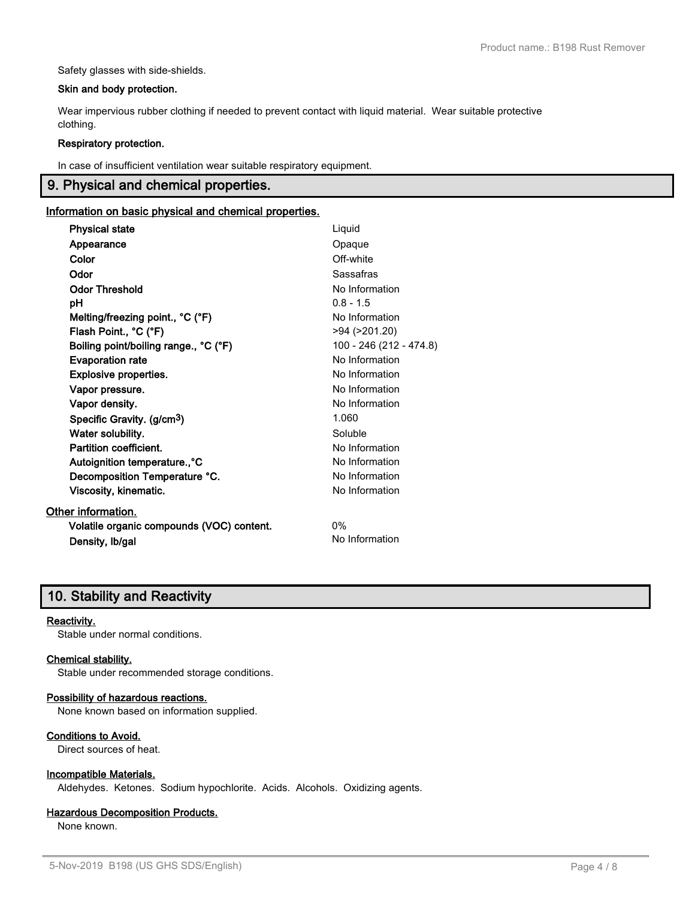Safety glasses with side-shields.

# **Skin and body protection.**

Wear impervious rubber clothing if needed to prevent contact with liquid material. Wear suitable protective clothing.

# **Respiratory protection.**

In case of insufficient ventilation wear suitable respiratory equipment.

# **9. Physical and chemical properties.**

# **Information on basic physical and chemical properties.**

| Physical state                            | Liquid                  |
|-------------------------------------------|-------------------------|
| Appearance                                | Opaque                  |
| Color                                     | Off-white               |
| Odor                                      | Sassafras               |
| <b>Odor Threshold</b>                     | No Information          |
| рH                                        | $0.8 - 1.5$             |
| Melting/freezing point., °C (°F)          | No Information          |
| Flash Point., °C (°F)                     | >94 (>201.20)           |
| Boiling point/boiling range., °C (°F)     | 100 - 246 (212 - 474.8) |
| <b>Evaporation rate</b>                   | No Information          |
| Explosive properties.                     | No Information          |
| Vapor pressure.                           | No Information          |
| Vapor density.                            | No Information          |
| Specific Gravity. (g/cm <sup>3</sup> )    | 1.060                   |
| Water solubility.                         | Soluble                 |
| Partition coefficient.                    | No Information          |
| Autoignition temperature., °C             | No Information          |
| Decomposition Temperature °C.             | No Information          |
| Viscosity, kinematic.                     | No Information          |
| Other information.                        |                         |
| Volatile organic compounds (VOC) content. | 0%                      |
| Density, Ib/gal                           | No Information          |
|                                           |                         |

# **10. Stability and Reactivity**

### **Reactivity.**

Stable under normal conditions.

### **Chemical stability.**

Stable under recommended storage conditions.

# **Possibility of hazardous reactions.**

None known based on information supplied.

# **Conditions to Avoid.**

Direct sources of heat.

# **Incompatible Materials.**

Aldehydes. Ketones. Sodium hypochlorite. Acids. Alcohols. Oxidizing agents.

### **Hazardous Decomposition Products.**

None known.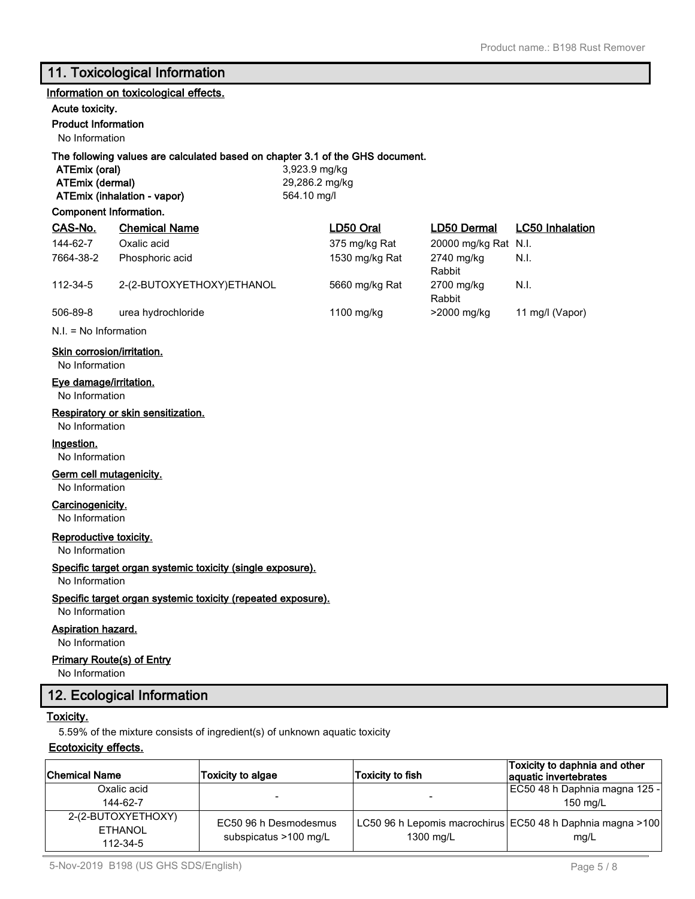# **11. Toxicological Information**

| Information on toxicological effects.                                                                           |                |                       |                        |  |  |
|-----------------------------------------------------------------------------------------------------------------|----------------|-----------------------|------------------------|--|--|
| Acute toxicity.                                                                                                 |                |                       |                        |  |  |
| <b>Product Information</b>                                                                                      |                |                       |                        |  |  |
| No Information                                                                                                  |                |                       |                        |  |  |
|                                                                                                                 |                |                       |                        |  |  |
| The following values are calculated based on chapter 3.1 of the GHS document.<br>3,923.9 mg/kg<br>ATEmix (oral) |                |                       |                        |  |  |
| ATEmix (dermal)                                                                                                 | 29,286.2 mg/kg |                       |                        |  |  |
| <b>ATEmix (inhalation - vapor)</b>                                                                              | 564.10 mg/l    |                       |                        |  |  |
| <b>Component Information.</b>                                                                                   |                |                       |                        |  |  |
| CAS-No.<br><b>Chemical Name</b>                                                                                 | LD50 Oral      | <b>LD50 Dermal</b>    | <b>LC50 Inhalation</b> |  |  |
| 144-62-7<br>Oxalic acid                                                                                         | 375 mg/kg Rat  | 20000 mg/kg Rat N.I.  |                        |  |  |
| 7664-38-2<br>Phosphoric acid                                                                                    | 1530 mg/kg Rat | 2740 mg/kg            | N.I.                   |  |  |
|                                                                                                                 |                | Rabbit                |                        |  |  |
| 2-(2-BUTOXYETHOXY)ETHANOL<br>112-34-5                                                                           | 5660 mg/kg Rat | 2700 mg/kg            | N.I.                   |  |  |
| 506-89-8<br>urea hydrochloride                                                                                  | 1100 mg/kg     | Rabbit<br>>2000 mg/kg | 11 mg/l (Vapor)        |  |  |
|                                                                                                                 |                |                       |                        |  |  |
| $N.I. = No Information$                                                                                         |                |                       |                        |  |  |
| Skin corrosion/irritation.                                                                                      |                |                       |                        |  |  |
| No Information                                                                                                  |                |                       |                        |  |  |
| Eye damage/irritation.                                                                                          |                |                       |                        |  |  |
| No Information                                                                                                  |                |                       |                        |  |  |
| Respiratory or skin sensitization.                                                                              |                |                       |                        |  |  |
| No Information                                                                                                  |                |                       |                        |  |  |
| Ingestion.                                                                                                      |                |                       |                        |  |  |
| No Information                                                                                                  |                |                       |                        |  |  |
| Germ cell mutagenicity.                                                                                         |                |                       |                        |  |  |
| No Information                                                                                                  |                |                       |                        |  |  |
| Carcinogenicity.                                                                                                |                |                       |                        |  |  |
| No Information                                                                                                  |                |                       |                        |  |  |
| Reproductive toxicity.                                                                                          |                |                       |                        |  |  |
| No Information                                                                                                  |                |                       |                        |  |  |
| Specific target organ systemic toxicity (single exposure).                                                      |                |                       |                        |  |  |
| No Information                                                                                                  |                |                       |                        |  |  |
| Specific target organ systemic toxicity (repeated exposure).                                                    |                |                       |                        |  |  |
| No Information                                                                                                  |                |                       |                        |  |  |
| <b>Aspiration hazard.</b>                                                                                       |                |                       |                        |  |  |
| No Information                                                                                                  |                |                       |                        |  |  |
| <b>Primary Route(s) of Entry</b>                                                                                |                |                       |                        |  |  |
| No Information                                                                                                  |                |                       |                        |  |  |
| 12. Ecological Information                                                                                      |                |                       |                        |  |  |

# **Toxicity.**

5.59% of the mixture consists of ingredient(s) of unknown aquatic toxicity

# **Ecotoxicity effects.**

| Chemical Name      | Toxicity to algae     | 'Toxicity to fish        | Toxicity to daphnia and other<br>aquatic invertebrates     |
|--------------------|-----------------------|--------------------------|------------------------------------------------------------|
| Oxalic acid        |                       |                          | EC50 48 h Daphnia magna 125 -                              |
| 144-62-7           |                       | $\overline{\phantom{0}}$ | 150 mg/L                                                   |
| 2-(2-BUTOXYETHOXY) | EC50 96 h Desmodesmus |                          | LC50 96 h Lepomis macrochirus EC50 48 h Daphnia magna >100 |
| <b>ETHANOL</b>     | subspicatus >100 mg/L | 1300 mg/L                |                                                            |
| 112-34-5           |                       |                          | mq/L                                                       |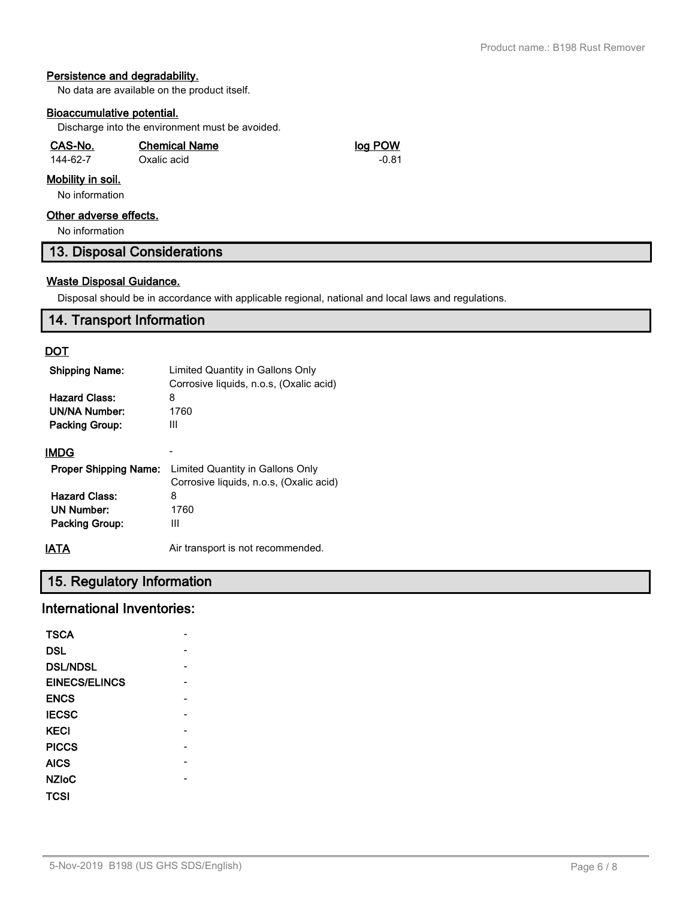# **Persistence and degradability.**

No data are available on the product itself.

# **Bioaccumulative potential.**

Discharge into the environment must be avoided.

| CAS-No.           | <b>Chemical Name</b> | log POW |
|-------------------|----------------------|---------|
| 144-62-7          | Oxalic acid          | $-0.81$ |
| Mobility in soil. |                      |         |
| No information    |                      |         |

# **Other adverse effects.**

No information

# **13. Disposal Considerations**

# **Waste Disposal Guidance.**

Disposal should be in accordance with applicable regional, national and local laws and regulations.

# **14. Transport Information**

# **DOT**

| <b>Shipping Name:</b>        | Limited Quantity in Gallons Only        |
|------------------------------|-----------------------------------------|
|                              | Corrosive liquids, n.o.s. (Oxalic acid) |
| <b>Hazard Class:</b>         | 8                                       |
| <b>UN/NA Number:</b>         | 1760                                    |
| Packing Group:               | Ш                                       |
|                              |                                         |
| <b>IMDG</b>                  |                                         |
| <b>Proper Shipping Name:</b> | Limited Quantity in Gallons Only        |
|                              | Corrosive liquids, n.o.s, (Oxalic acid) |
| <b>Hazard Class:</b>         | 8                                       |
| UN Number:                   | 1760                                    |
| Packing Group:               | Ш                                       |
| IAIA                         | Air transport is not recommended.       |

# **15. Regulatory Information**

# **International Inventories:**

| TSCA                 |  |
|----------------------|--|
| <b>DSL</b>           |  |
| <b>DSL/NDSL</b>      |  |
| <b>EINECS/ELINCS</b> |  |
| <b>ENCS</b>          |  |
| <b>IECSC</b>         |  |
| KECI                 |  |
| <b>PICCS</b>         |  |
| <b>AICS</b>          |  |
| <b>NZIoC</b>         |  |
| TCSI                 |  |
|                      |  |